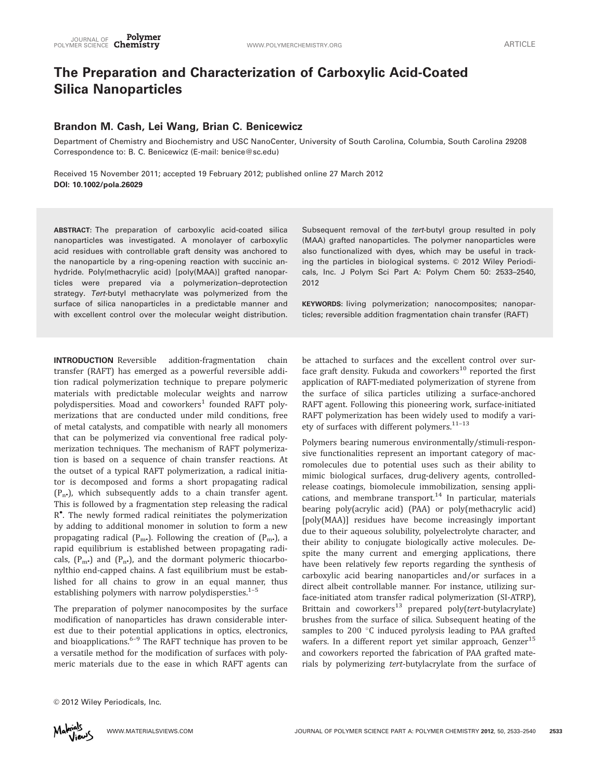# The Preparation and Characterization of Carboxylic Acid-Coated Silica Nanoparticles

# Brandon M. Cash, Lei Wang, Brian C. Benicewicz

Department of Chemistry and Biochemistry and USC NanoCenter, University of South Carolina, Columbia, South Carolina 29208 Correspondence to: B. C. Benicewicz (E-mail: benice@sc.edu)

Received 15 November 2011; accepted 19 February 2012; published online 27 March 2012 DOI: 10.1002/pola.26029

ABSTRACT: The preparation of carboxylic acid-coated silica nanoparticles was investigated. A monolayer of carboxylic acid residues with controllable graft density was anchored to the nanoparticle by a ring-opening reaction with succinic anhydride. Poly(methacrylic acid) [poly(MAA)] grafted nanoparticles were prepared via a polymerization–deprotection strategy. Tert-butyl methacrylate was polymerized from the surface of silica nanoparticles in a predictable manner and with excellent control over the molecular weight distribution.

Subsequent removal of the tert-butyl group resulted in poly (MAA) grafted nanoparticles. The polymer nanoparticles were also functionalized with dyes, which may be useful in tracking the particles in biological systems. © 2012 Wiley Periodicals, Inc. J Polym Sci Part A: Polym Chem 50: 2533–2540, 2012

KEYWORDS: living polymerization; nanocomposites; nanoparticles; reversible addition fragmentation chain transfer (RAFT)

INTRODUCTION Reversible addition-fragmentation chain transfer (RAFT) has emerged as a powerful reversible addition radical polymerization technique to prepare polymeric materials with predictable molecular weights and narrow polydispersities. Moad and coworkers<sup>1</sup> founded RAFT polymerizations that are conducted under mild conditions, free of metal catalysts, and compatible with nearly all monomers that can be polymerized via conventional free radical polymerization techniques. The mechanism of RAFT polymerization is based on a sequence of chain transfer reactions. At the outset of a typical RAFT polymerization, a radical initiator is decomposed and forms a short propagating radical  $(P_n)$ , which subsequently adds to a chain transfer agent. This is followed by a fragmentation step releasing the radical R . The newly formed radical reinitiates the polymerization by adding to additional monomer in solution to form a new propagating radical  $(P_m)$ . Following the creation of  $(P_m)$ , a rapid equilibrium is established between propagating radicals,  $(P_m)$  and  $(P_n)$ , and the dormant polymeric thiocarbonylthio end-capped chains. A fast equilibrium must be established for all chains to grow in an equal manner, thus establishing polymers with narrow polydispersties. $1-5$ 

The preparation of polymer nanocomposites by the surface modification of nanoparticles has drawn considerable interest due to their potential applications in optics, electronics, and bioapplications. $6-9$  The RAFT technique has proven to be a versatile method for the modification of surfaces with polymeric materials due to the ease in which RAFT agents can

be attached to surfaces and the excellent control over surface graft density. Fukuda and coworkers $^{10}$  reported the first application of RAFT-mediated polymerization of styrene from the surface of silica particles utilizing a surface-anchored RAFT agent. Following this pioneering work, surface-initiated RAFT polymerization has been widely used to modify a variety of surfaces with different polymers.<sup>11-13</sup>

Polymers bearing numerous environmentally/stimuli-responsive functionalities represent an important category of macromolecules due to potential uses such as their ability to mimic biological surfaces, drug-delivery agents, controlledrelease coatings, biomolecule immobilization, sensing applications, and membrane transport.<sup>14</sup> In particular, materials bearing poly(acrylic acid) (PAA) or poly(methacrylic acid) [poly(MAA)] residues have become increasingly important due to their aqueous solubility, polyelectrolyte character, and their ability to conjugate biologically active molecules. Despite the many current and emerging applications, there have been relatively few reports regarding the synthesis of carboxylic acid bearing nanoparticles and/or surfaces in a direct albeit controllable manner. For instance, utilizing surface-initiated atom transfer radical polymerization (SI-ATRP), Brittain and coworkers<sup>13</sup> prepared poly(tert-butylacrylate) brushes from the surface of silica. Subsequent heating of the samples to 200 °C induced pyrolysis leading to PAA grafted wafers. In a different report yet similar approach, Genzer $^{15}$ and coworkers reported the fabrication of PAA grafted materials by polymerizing tert-butylacrylate from the surface of

```
© 2012 Wiley Periodicals, Inc.
```
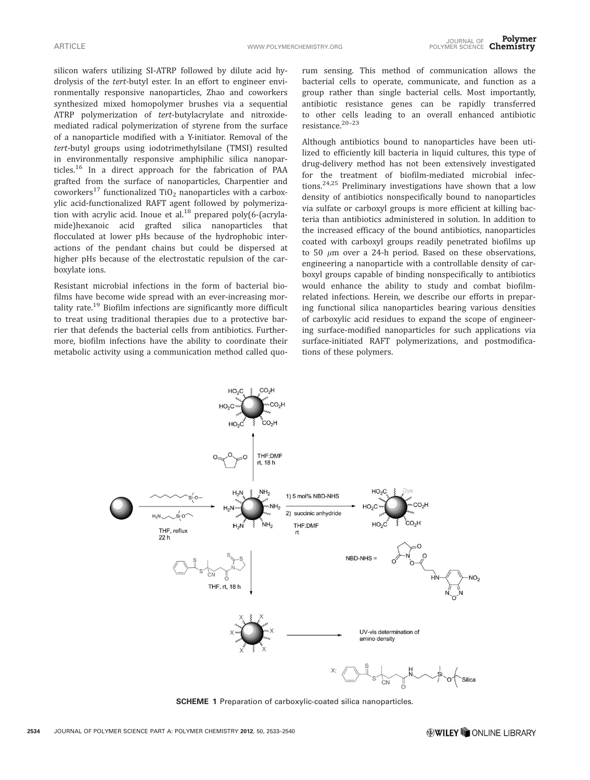silicon wafers utilizing SI-ATRP followed by dilute acid hydrolysis of the tert-butyl ester. In an effort to engineer environmentally responsive nanoparticles, Zhao and coworkers synthesized mixed homopolymer brushes via a sequential ATRP polymerization of tert-butylacrylate and nitroxidemediated radical polymerization of styrene from the surface of a nanoparticle modified with a Y-initiator. Removal of the tert-butyl groups using iodotrimethylsilane (TMSI) resulted in environmentally responsive amphiphilic silica nanoparticles.<sup>16</sup> In a direct approach for the fabrication of PAA grafted from the surface of nanoparticles, Charpentier and coworkers<sup>17</sup> functionalized TiO<sub>2</sub> nanoparticles with a carboxylic acid-functionalized RAFT agent followed by polymerization with acrylic acid. Inoue et  $al^{18}$  prepared poly(6-(acrylamide)hexanoic acid grafted silica nanoparticles that flocculated at lower pHs because of the hydrophobic interactions of the pendant chains but could be dispersed at higher pHs because of the electrostatic repulsion of the carboxylate ions.

Resistant microbial infections in the form of bacterial biofilms have become wide spread with an ever-increasing mortality rate.<sup>19</sup> Biofilm infections are significantly more difficult to treat using traditional therapies due to a protective barrier that defends the bacterial cells from antibiotics. Furthermore, biofilm infections have the ability to coordinate their metabolic activity using a communication method called quorum sensing. This method of communication allows the bacterial cells to operate, communicate, and function as a group rather than single bacterial cells. Most importantly, antibiotic resistance genes can be rapidly transferred to other cells leading to an overall enhanced antibiotic resistance.20–23

Although antibiotics bound to nanoparticles have been utilized to efficiently kill bacteria in liquid cultures, this type of drug-delivery method has not been extensively investigated for the treatment of biofilm-mediated microbial infections.24,25 Preliminary investigations have shown that a low density of antibiotics nonspecifically bound to nanoparticles via sulfate or carboxyl groups is more efficient at killing bacteria than antibiotics administered in solution. In addition to the increased efficacy of the bound antibiotics, nanoparticles coated with carboxyl groups readily penetrated biofilms up to 50  $\mu$ m over a 24-h period. Based on these observations, engineering a nanoparticle with a controllable density of carboxyl groups capable of binding nonspecifically to antibiotics would enhance the ability to study and combat biofilmrelated infections. Herein, we describe our efforts in preparing functional silica nanoparticles bearing various densities of carboxylic acid residues to expand the scope of engineering surface-modified nanoparticles for such applications via surface-initiated RAFT polymerizations, and postmodifications of these polymers.



SCHEME 1 Preparation of carboxylic-coated silica nanoparticles.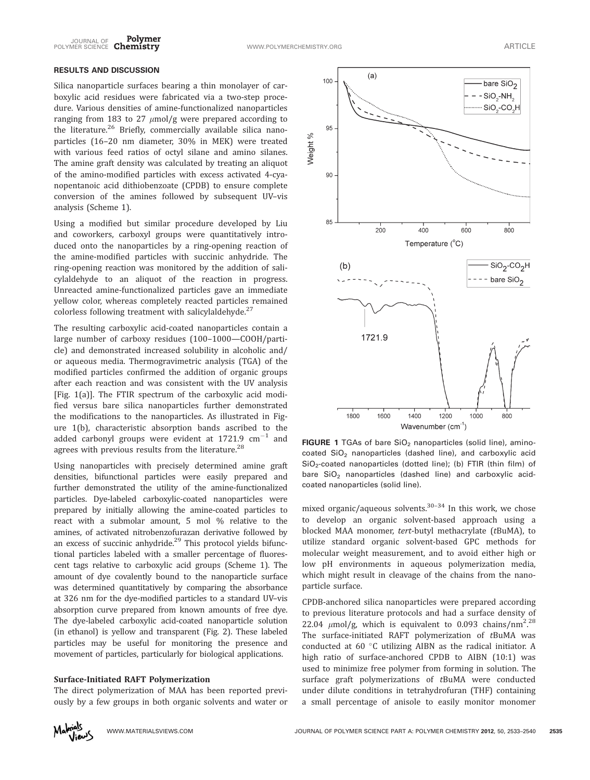

# RESULTS AND DISCUSSION

Silica nanoparticle surfaces bearing a thin monolayer of carboxylic acid residues were fabricated via a two-step procedure. Various densities of amine-functionalized nanoparticles ranging from 183 to 27  $\mu$ mol/g were prepared according to the literature.<sup>26</sup> Briefly, commercially available silica nanoparticles (16–20 nm diameter, 30% in MEK) were treated with various feed ratios of octyl silane and amino silanes. The amine graft density was calculated by treating an aliquot of the amino-modified particles with excess activated 4-cyanopentanoic acid dithiobenzoate (CPDB) to ensure complete conversion of the amines followed by subsequent UV–vis analysis (Scheme 1).

Using a modified but similar procedure developed by Liu and coworkers, carboxyl groups were quantitatively introduced onto the nanoparticles by a ring-opening reaction of the amine-modified particles with succinic anhydride. The ring-opening reaction was monitored by the addition of salicylaldehyde to an aliquot of the reaction in progress. Unreacted amine-functionalized particles gave an immediate yellow color, whereas completely reacted particles remained colorless following treatment with salicylaldehyde. $27$ 

The resulting carboxylic acid-coated nanoparticles contain a large number of carboxy residues (100–1000—COOH/particle) and demonstrated increased solubility in alcoholic and/ or aqueous media. Thermogravimetric analysis (TGA) of the modified particles confirmed the addition of organic groups after each reaction and was consistent with the UV analysis [Fig. 1(a)]. The FTIR spectrum of the carboxylic acid modified versus bare silica nanoparticles further demonstrated the modifications to the nanoparticles. As illustrated in Figure 1(b), characteristic absorption bands ascribed to the added carbonyl groups were evident at  $1721.9 \text{ cm}^{-1}$  and agrees with previous results from the literature.<sup>28</sup>

Using nanoparticles with precisely determined amine graft densities, bifunctional particles were easily prepared and further demonstrated the utility of the amine-functionalized particles. Dye-labeled carboxylic-coated nanoparticles were prepared by initially allowing the amine-coated particles to react with a submolar amount, 5 mol % relative to the amines, of activated nitrobenzofurazan derivative followed by an excess of succinic anhydride. $29$  This protocol yields bifunctional particles labeled with a smaller percentage of fluorescent tags relative to carboxylic acid groups (Scheme 1). The amount of dye covalently bound to the nanoparticle surface was determined quantitatively by comparing the absorbance at 326 nm for the dye-modified particles to a standard UV–vis absorption curve prepared from known amounts of free dye. The dye-labeled carboxylic acid-coated nanoparticle solution (in ethanol) is yellow and transparent (Fig. 2). These labeled particles may be useful for monitoring the presence and movement of particles, particularly for biological applications.

#### Surface-Initiated RAFT Polymerization

The direct polymerization of MAA has been reported previously by a few groups in both organic solvents and water or



FIGURE 1 TGAs of bare  $SiO<sub>2</sub>$  nanoparticles (solid line), amino $coated SiO<sub>2</sub> nanoparticles (dashed line), and carboxylic acid$  $SiO<sub>2</sub>$ -coated nanoparticles (dotted line); (b) FTIR (thin film) of bare  $SiO<sub>2</sub>$  nanoparticles (dashed line) and carboxylic acidcoated nanoparticles (solid line).

mixed organic/aqueous solvents. $30-34$  In this work, we chose to develop an organic solvent-based approach using a blocked MAA monomer, tert-butyl methacrylate (tBuMA), to utilize standard organic solvent-based GPC methods for molecular weight measurement, and to avoid either high or low pH environments in aqueous polymerization media, which might result in cleavage of the chains from the nanoparticle surface.

CPDB-anchored silica nanoparticles were prepared according to previous literature protocols and had a surface density of 22.04  $\mu$ mol/g, which is equivalent to 0.093 chains/nm<sup>2.28</sup> . The surface-initiated RAFT polymerization of tBuMA was conducted at  $60 °C$  utilizing AIBN as the radical initiator. A high ratio of surface-anchored CPDB to AIBN (10:1) was used to minimize free polymer from forming in solution. The surface graft polymerizations of tBuMA were conducted under dilute conditions in tetrahydrofuran (THF) containing a small percentage of anisole to easily monitor monomer

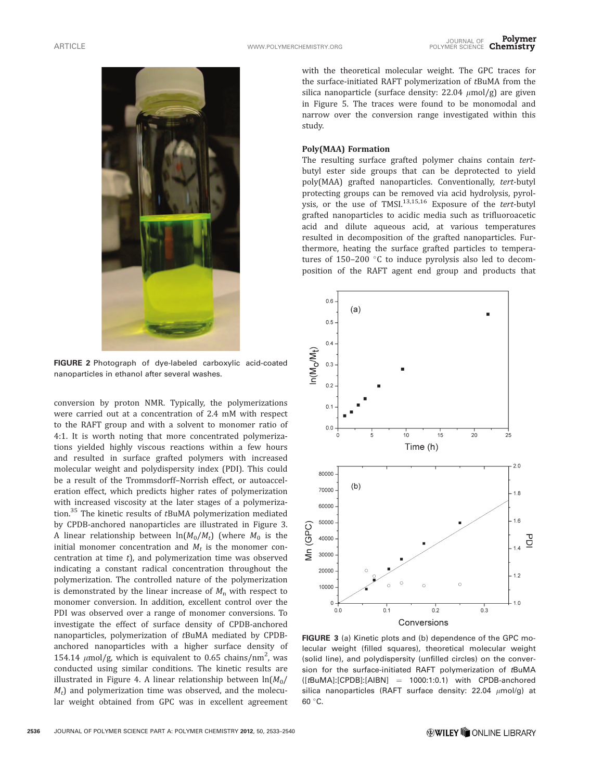

FIGURE 2 Photograph of dye-labeled carboxylic acid-coated nanoparticles in ethanol after several washes.

conversion by proton NMR. Typically, the polymerizations were carried out at a concentration of 2.4 mM with respect to the RAFT group and with a solvent to monomer ratio of 4:1. It is worth noting that more concentrated polymerizations yielded highly viscous reactions within a few hours and resulted in surface grafted polymers with increased molecular weight and polydispersity index (PDI). This could be a result of the Trommsdorff–Norrish effect, or autoacceleration effect, which predicts higher rates of polymerization with increased viscosity at the later stages of a polymerization.<sup>35</sup> The kinetic results of tBuMA polymerization mediated by CPDB-anchored nanoparticles are illustrated in Figure 3. A linear relationship between  $ln(M_0/M_t)$  (where  $M_0$  is the initial monomer concentration and  $M_t$  is the monomer concentration at time  $t$ ), and polymerization time was observed indicating a constant radical concentration throughout the polymerization. The controlled nature of the polymerization is demonstrated by the linear increase of  $M_n$  with respect to monomer conversion. In addition, excellent control over the PDI was observed over a range of monomer conversions. To investigate the effect of surface density of CPDB-anchored nanoparticles, polymerization of tBuMA mediated by CPDBanchored nanoparticles with a higher surface density of 154.14  $\mu$ mol/g, which is equivalent to 0.65 chains/nm<sup>2</sup>, was conducted using similar conditions. The kinetic results are illustrated in Figure 4. A linear relationship between  $ln(M_0)$  $M_t$ ) and polymerization time was observed, and the molecular weight obtained from GPC was in excellent agreement

with the theoretical molecular weight. The GPC traces for the surface-initiated RAFT polymerization of tBuMA from the silica nanoparticle (surface density:  $22.04 \mu mol/g$ ) are given in Figure 5. The traces were found to be monomodal and narrow over the conversion range investigated within this study.

#### Poly(MAA) Formation

The resulting surface grafted polymer chains contain tertbutyl ester side groups that can be deprotected to yield poly(MAA) grafted nanoparticles. Conventionally, tert-butyl protecting groups can be removed via acid hydrolysis, pyrolysis, or the use of TMSI $^{13,15,16}$  Exposure of the tert-butyl grafted nanoparticles to acidic media such as trifluoroacetic acid and dilute aqueous acid, at various temperatures resulted in decomposition of the grafted nanoparticles. Furthermore, heating the surface grafted particles to temperatures of 150–200  $^{\circ}$ C to induce pyrolysis also led to decomposition of the RAFT agent end group and products that



FIGURE 3 (a) Kinetic plots and (b) dependence of the GPC molecular weight (filled squares), theoretical molecular weight (solid line), and polydispersity (unfilled circles) on the conversion for the surface-initiated RAFT polymerization of tBuMA  $([tBuMA]:[CPDB]:[AIBN] = 1000:1:0.1)$  with CPDB-anchored silica nanoparticles (RAFT surface density: 22.04  $\mu$ mol/g) at 60 °C.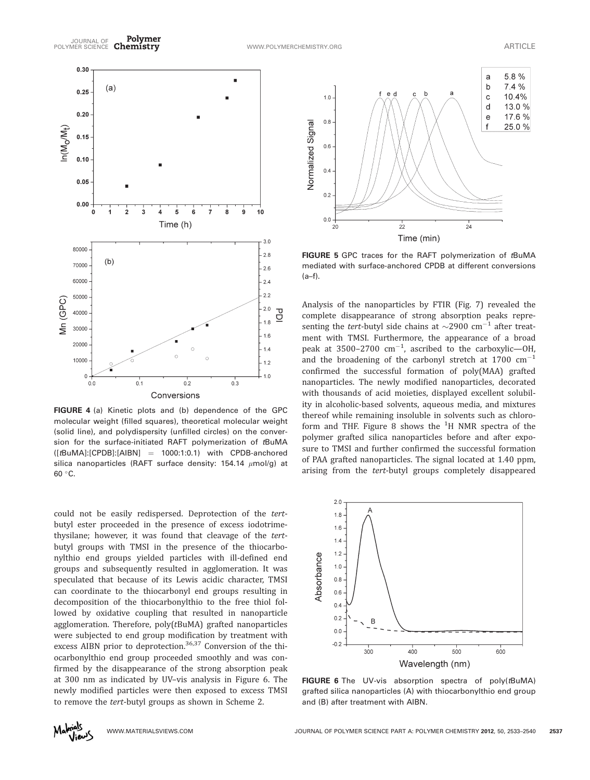

FIGURE 4 (a) Kinetic plots and (b) dependence of the GPC molecular weight (filled squares), theoretical molecular weight (solid line), and polydispersity (unfilled circles) on the conversion for the surface-initiated RAFT polymerization of tBuMA  $([tBuMA]:[CPDB]:[AIBN] = 1000:1:0.1)$  with CPDB-anchored silica nanoparticles (RAFT surface density: 154.14  $\mu$ mol/g) at 60 °C.

could not be easily redispersed. Deprotection of the tertbutyl ester proceeded in the presence of excess iodotrimethysilane; however, it was found that cleavage of the tertbutyl groups with TMSI in the presence of the thiocarbonylthio end groups yielded particles with ill-defined end groups and subsequently resulted in agglomeration. It was speculated that because of its Lewis acidic character, TMSI can coordinate to the thiocarbonyl end groups resulting in decomposition of the thiocarbonylthio to the free thiol followed by oxidative coupling that resulted in nanoparticle agglomeration. Therefore, poly(tBuMA) grafted nanoparticles were subjected to end group modification by treatment with excess AIBN prior to deprotection.<sup>36,37</sup> Conversion of the thiocarbonylthio end group proceeded smoothly and was confirmed by the disappearance of the strong absorption peak at 300 nm as indicated by UV–vis analysis in Figure 6. The newly modified particles were then exposed to excess TMSI to remove the tert-butyl groups as shown in Scheme 2.



FIGURE 5 GPC traces for the RAFT polymerization of tBuMA mediated with surface-anchored CPDB at different conversions (a–f).

Analysis of the nanoparticles by FTIR (Fig. 7) revealed the complete disappearance of strong absorption peaks representing the *tert*-butyl side chains at  $\sim$ 2900 cm<sup>-1</sup> after treatment with TMSI. Furthermore, the appearance of a broad peak at 3500–2700  $\rm cm^{-1}$ , ascribed to the carboxylic—OH, and the broadening of the carbonyl stretch at 1700  $cm^{-1}$ confirmed the successful formation of poly(MAA) grafted nanoparticles. The newly modified nanoparticles, decorated with thousands of acid moieties, displayed excellent solubility in alcoholic-based solvents, aqueous media, and mixtures thereof while remaining insoluble in solvents such as chloroform and THF. Figure 8 shows the  $^{1} \mathrm{H}$  NMR spectra of the polymer grafted silica nanoparticles before and after exposure to TMSI and further confirmed the successful formation of PAA grafted nanoparticles. The signal located at 1.40 ppm, arising from the tert-butyl groups completely disappeared



FIGURE 6 The UV-vis absorption spectra of poly(tBuMA) grafted silica nanoparticles (A) with thiocarbonylthio end group and (B) after treatment with AIBN.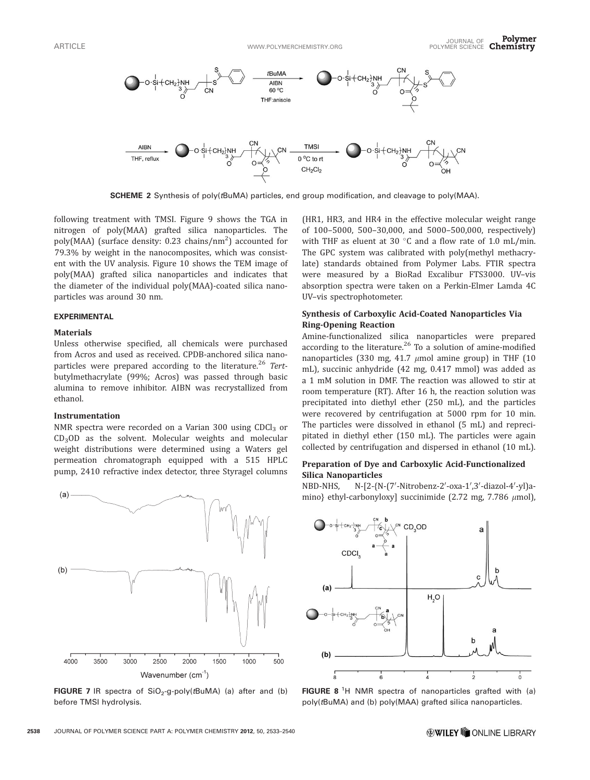

SCHEME 2 Synthesis of poly(tBuMA) particles, end group modification, and cleavage to poly(MAA).

following treatment with TMSI. Figure 9 shows the TGA in nitrogen of poly(MAA) grafted silica nanoparticles. The poly(MAA) (surface density: 0.23 chains/nm<sup>2</sup>) accounted for 79.3% by weight in the nanocomposites, which was consistent with the UV analysis. Figure 10 shows the TEM image of poly(MAA) grafted silica nanoparticles and indicates that the diameter of the individual poly(MAA)-coated silica nanoparticles was around 30 nm.

### EXPERIMENTAL

#### Materials

Unless otherwise specified, all chemicals were purchased from Acros and used as received. CPDB-anchored silica nanoparticles were prepared according to the literature.<sup>26</sup> Tertbutylmethacrylate (99%; Acros) was passed through basic alumina to remove inhibitor. AIBN was recrystallized from ethanol.

#### Instrumentation

NMR spectra were recorded on a Varian 300 using  $CDCl<sub>3</sub>$  or  $CD<sub>3</sub>OD$  as the solvent. Molecular weights and molecular weight distributions were determined using a Waters gel permeation chromatograph equipped with a 515 HPLC pump, 2410 refractive index detector, three Styragel columns



FIGURE 7 IR spectra of  $SiO<sub>2</sub>-g-poly(tBuMA)$  (a) after and (b) before TMSI hydrolysis.

(HR1, HR3, and HR4 in the effective molecular weight range of 100–5000, 500–30,000, and 5000–500,000, respectively) with THF as eluent at 30  $^{\circ}$ C and a flow rate of 1.0 mL/min. The GPC system was calibrated with poly(methyl methacrylate) standards obtained from Polymer Labs. FTIR spectra were measured by a BioRad Excalibur FTS3000. UV–vis absorption spectra were taken on a Perkin-Elmer Lamda 4C UV–vis spectrophotometer.

## Synthesis of Carboxylic Acid-Coated Nanoparticles Via Ring-Opening Reaction

Amine-functionalized silica nanoparticles were prepared according to the literature. $26$  To a solution of amine-modified nanoparticles (330 mg, 41.7  $\mu$ mol amine group) in THF (10 mL), succinic anhydride (42 mg, 0.417 mmol) was added as a 1 mM solution in DMF. The reaction was allowed to stir at room temperature (RT). After 16 h, the reaction solution was precipitated into diethyl ether (250 mL), and the particles were recovered by centrifugation at 5000 rpm for 10 min. The particles were dissolved in ethanol (5 mL) and reprecipitated in diethyl ether (150 mL). The particles were again collected by centrifugation and dispersed in ethanol (10 mL).

## Preparation of Dye and Carboxylic Acid-Functionalized Silica Nanoparticles

NBD-NHS, N-[2-{N-(7′-Nitrobenz-2′-oxa-1′,3′-diazol-4′-yl)amino} ethyl-carbonyloxy] succinimide (2.72 mg, 7.786  $\mu$ mol),



FIGURE 8<sup>1</sup>H NMR spectra of nanoparticles grafted with (a) poly(tBuMA) and (b) poly(MAA) grafted silica nanoparticles.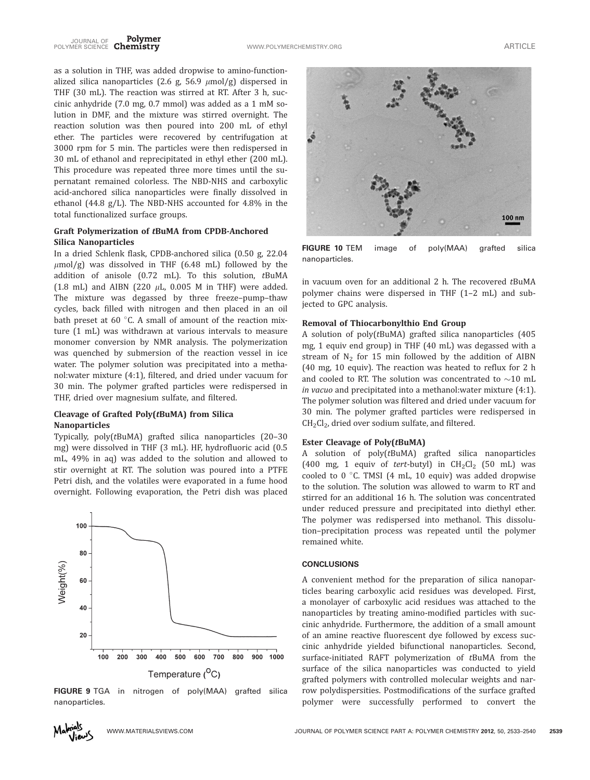as a solution in THF, was added dropwise to amino-functionalized silica nanoparticles (2.6 g, 56.9  $\mu$ mol/g) dispersed in THF (30 mL). The reaction was stirred at RT. After 3 h, succinic anhydride (7.0 mg, 0.7 mmol) was added as a 1 mM solution in DMF, and the mixture was stirred overnight. The reaction solution was then poured into 200 mL of ethyl ether. The particles were recovered by centrifugation at 3000 rpm for 5 min. The particles were then redispersed in 30 mL of ethanol and reprecipitated in ethyl ether (200 mL). This procedure was repeated three more times until the supernatant remained colorless. The NBD-NHS and carboxylic acid-anchored silica nanoparticles were finally dissolved in ethanol (44.8 g/L). The NBD-NHS accounted for 4.8% in the total functionalized surface groups.

# Graft Polymerization of tBuMA from CPDB-Anchored Silica Nanoparticles

In a dried Schlenk flask, CPDB-anchored silica (0.50 g, 22.04  $\mu$ mol/g) was dissolved in THF (6.48 mL) followed by the addition of anisole (0.72 mL). To this solution, tBuMA (1.8 mL) and AIBN (220  $\mu$ L, 0.005 M in THF) were added. The mixture was degassed by three freeze–pump–thaw cycles, back filled with nitrogen and then placed in an oil bath preset at 60 $\degree$ C. A small of amount of the reaction mixture (1 mL) was withdrawn at various intervals to measure monomer conversion by NMR analysis. The polymerization was quenched by submersion of the reaction vessel in ice water. The polymer solution was precipitated into a methanol:water mixture (4:1), filtered, and dried under vacuum for 30 min. The polymer grafted particles were redispersed in THF, dried over magnesium sulfate, and filtered.

# Cleavage of Grafted Poly(tBuMA) from Silica Nanoparticles

Typically, poly(tBuMA) grafted silica nanoparticles (20–30 mg) were dissolved in THF (3 mL). HF, hydrofluoric acid (0.5 mL, 49% in aq) was added to the solution and allowed to stir overnight at RT. The solution was poured into a PTFE Petri dish, and the volatiles were evaporated in a fume hood overnight. Following evaporation, the Petri dish was placed



FIGURE 9 TGA in nitrogen of poly(MAA) grafted silica nanoparticles.



FIGURE 10 TEM image of poly(MAA) grafted silica nanoparticles.

in vacuum oven for an additional 2 h. The recovered tBuMA polymer chains were dispersed in THF (1–2 mL) and subjected to GPC analysis.

# Removal of Thiocarbonylthio End Group

A solution of poly(tBuMA) grafted silica nanoparticles (405 mg, 1 equiv end group) in THF (40 mL) was degassed with a stream of  $N_2$  for 15 min followed by the addition of AIBN (40 mg, 10 equiv). The reaction was heated to reflux for 2 h and cooled to RT. The solution was concentrated to  $\sim$ 10 mL in vacuo and precipitated into a methanol:water mixture (4:1). The polymer solution was filtered and dried under vacuum for 30 min. The polymer grafted particles were redispersed in  $CH<sub>2</sub>Cl<sub>2</sub>$ , dried over sodium sulfate, and filtered.

## Ester Cleavage of Poly(tBuMA)

A solution of poly(tBuMA) grafted silica nanoparticles (400 mg, 1 equiv of tert-butyl) in  $CH_2Cl_2$  (50 mL) was cooled to  $0^{\circ}$ C. TMSI (4 mL, 10 equiv) was added dropwise to the solution. The solution was allowed to warm to RT and stirred for an additional 16 h. The solution was concentrated under reduced pressure and precipitated into diethyl ether. The polymer was redispersed into methanol. This dissolution–precipitation process was repeated until the polymer remained white.

### **CONCLUSIONS**

A convenient method for the preparation of silica nanoparticles bearing carboxylic acid residues was developed. First, a monolayer of carboxylic acid residues was attached to the nanoparticles by treating amino-modified particles with succinic anhydride. Furthermore, the addition of a small amount of an amine reactive fluorescent dye followed by excess succinic anhydride yielded bifunctional nanoparticles. Second, surface-initiated RAFT polymerization of tBuMA from the surface of the silica nanoparticles was conducted to yield grafted polymers with controlled molecular weights and narrow polydispersities. Postmodifications of the surface grafted polymer were successfully performed to convert the